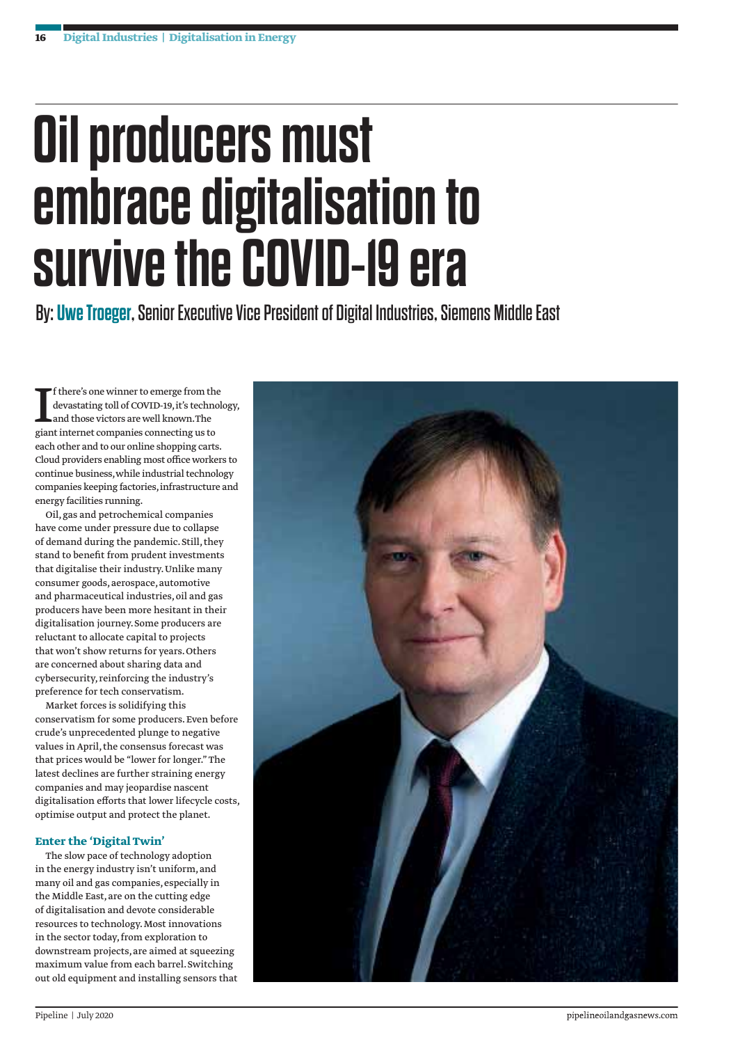## **Oil producers must embrace digitalisation to survive the COVID-19 era**

By: **Uwe Troeger**, Senior Executive Vice President of Digital Industries, Siemens Middle East

If there's one winner to emerge from the devastating toll of COVID-19, it's technolonal those victors are well known. The giant internet companies connecting us to f there's one winner to emerge from the devastating toll of COVID-19, it's technology, and those victors are well known. The each other and to our online shopping carts. Cloud providers enabling most office workers to continue business, while industrial technology companies keeping factories, infrastructure and energy facilities running.

Oil, gas and petrochemical companies have come under pressure due to collapse of demand during the pandemic. Still, they stand to benefit from prudent investments that digitalise their industry. Unlike many consumer goods, aerospace, automotive and pharmaceutical industries, oil and gas producers have been more hesitant in their digitalisation journey. Some producers are reluctant to allocate capital to projects that won't show returns for years. Others are concerned about sharing data and cybersecurity, reinforcing the industry's preference for tech conservatism.

Market forces is solidifying this conservatism for some producers. Even before crude's unprecedented plunge to negative values in April, the consensus forecast was that prices would be "lower for longer." The latest declines are further straining energy companies and may jeopardise nascent digitalisation efforts that lower lifecycle costs, optimise output and protect the planet.

## **Enter the 'Digital Twin'**

The slow pace of technology adoption in the energy industry isn't uniform, and many oil and gas companies, especially in the Middle East, are on the cutting edge of digitalisation and devote considerable resources to technology. Most innovations in the sector today, from exploration to downstream projects, are aimed at squeezing maximum value from each barrel. Switching out old equipment and installing sensors that

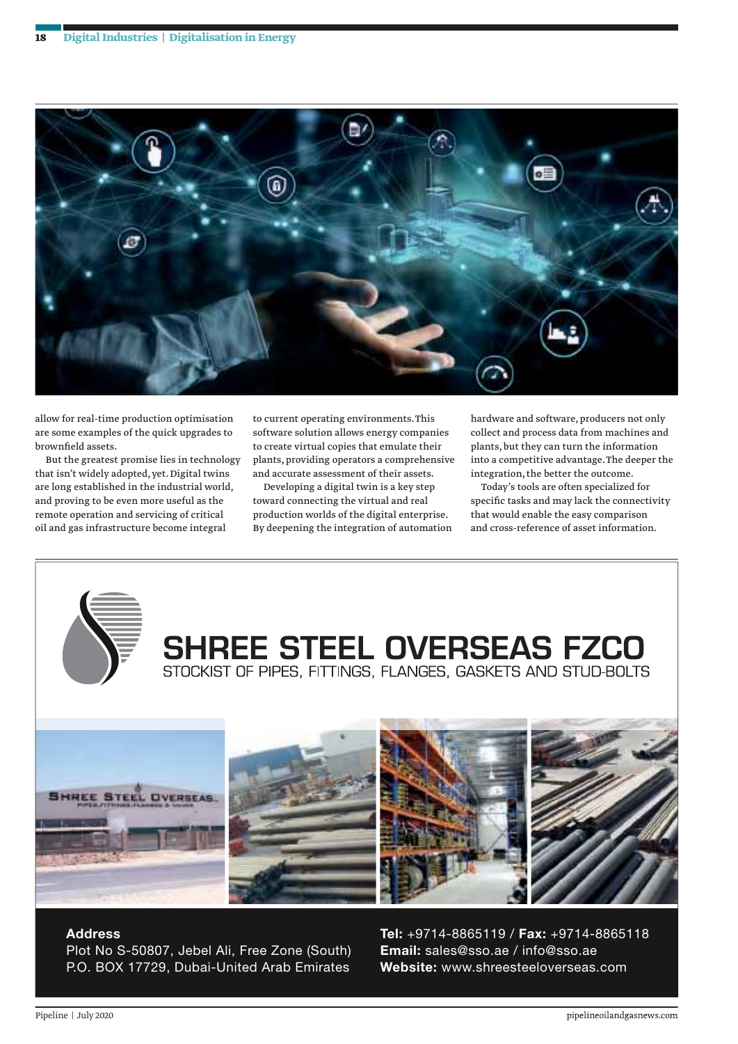

allow for real-time production optimisation are some examples of the quick upgrades to brownfield assets.

But the greatest promise lies in technology that isn't widely adopted, yet. Digital twins are long established in the industrial world, and proving to be even more useful as the remote operation and servicing of critical oil and gas infrastructure become integral

to current operating environments. This software solution allows energy companies to create virtual copies that emulate their plants, providing operators a comprehensive and accurate assessment of their assets.

Developing a digital twin is a key step toward connecting the virtual and real production worlds of the digital enterprise. By deepening the integration of automation hardware and software, producers not only collect and process data from machines and plants, but they can turn the information into a competitive advantage. The deeper the integration, the better the outcome.

Today's tools are often specialized for specific tasks and may lack the connectivity that would enable the easy comparison and cross-reference of asset information.



## **Address**

Plot No S-50807, Jebel Ali, Free Zone (South) P.O. BOX 17729, Dubai-United Arab Emirates

**Tel:** +9714-8865119 / **Fax:** +9714-8865118 **Email:** sales@sso.ae / info@sso.ae **Website:** www.shreesteeloverseas.com